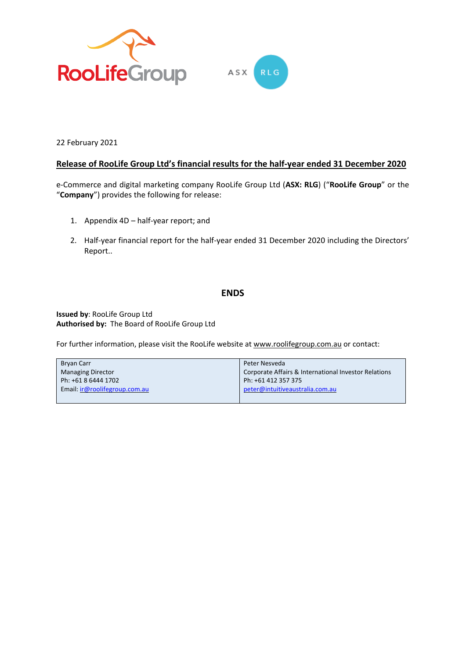

22 February 2021

# **Release of RooLife Group Ltd's financial results for the half-year ended 31 December 2020**

e-Commerce and digital marketing company RooLife Group Ltd (**ASX: RLG**) ("**RooLife Group**" or the "**Company**") provides the following for release:

- 1. Appendix 4D half-year report; and
- 2. Half-year financial report for the half-year ended 31 December 2020 including the Directors' Report..

# **ENDS**

**Issued by**: RooLife Group Ltd **Authorised by:** The Board of RooLife Group Ltd

For further information, please visit the RooLife website at [www.roolifegroup.com.au](http://www.roolifegroup.com.au/) or contact:

| <b>Bryan Carr</b>             | Peter Nesveda                                        |
|-------------------------------|------------------------------------------------------|
| <b>Managing Director</b>      | Corporate Affairs & International Investor Relations |
| Ph: +61 8 6444 1702           | Ph: +61 412 357 375                                  |
| Email: ir@roolifegroup.com.au | peter@intuitiveaustralia.com.au                      |
|                               |                                                      |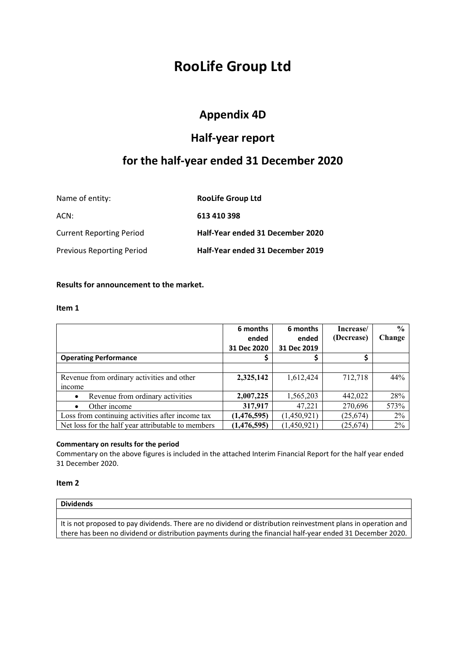# **RooLife Group Ltd**

# **Appendix 4D**

# **Half-year report**

# **for the half-year ended 31 December 2020**

| Name of entity:                  | <b>RooLife Group Ltd</b>         |
|----------------------------------|----------------------------------|
| ACN:                             | 613 410 398                      |
| <b>Current Reporting Period</b>  | Half-Year ended 31 December 2020 |
| <b>Previous Reporting Period</b> | Half-Year ended 31 December 2019 |

# **Results for announcement to the market.**

#### **Item 1**

|                                                    | 6 months<br>ended | 6 months<br>ended | Increase/<br>(Decrease) | $\frac{0}{0}$<br>Change |
|----------------------------------------------------|-------------------|-------------------|-------------------------|-------------------------|
|                                                    | 31 Dec 2020       | 31 Dec 2019       |                         |                         |
| <b>Operating Performance</b>                       |                   |                   |                         |                         |
|                                                    |                   |                   |                         |                         |
| Revenue from ordinary activities and other         | 2,325,142         | 1,612,424         | 712,718                 | 44%                     |
| <i>n</i> come                                      |                   |                   |                         |                         |
| Revenue from ordinary activities<br>$\bullet$      | 2,007,225         | 1,565,203         | 442,022                 | 28%                     |
| Other income<br>$\bullet$                          | 317,917           | 47,221            | 270,696                 | 573%                    |
| Loss from continuing activities after income tax   | (1,476,595)       | (1,450,921)       | (25, 674)               | 2%                      |
| Net loss for the half year attributable to members | (1,476,595)       | (1,450,921)       | (25, 674)               | 2%                      |

## **Commentary on results for the period**

Commentary on the above figures is included in the attached Interim Financial Report for the half year ended 31 December 2020.

## **Item 2**

# **Dividends**

It is not proposed to pay dividends. There are no dividend or distribution reinvestment plans in operation and there has been no dividend or distribution payments during the financial half-year ended 31 December 2020.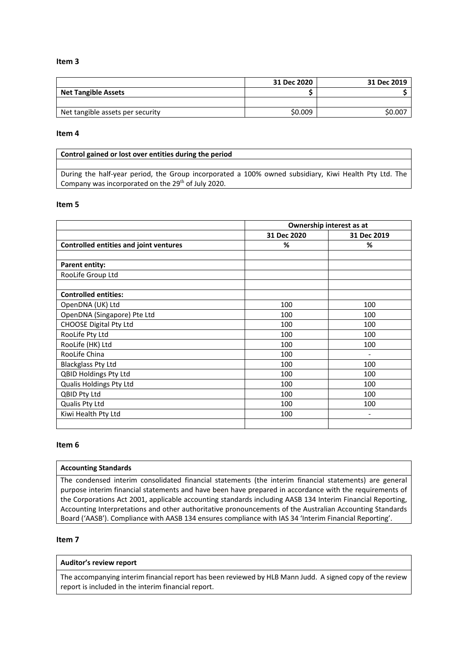#### **Item 3**

|                                  | 31 Dec 2020 | 31 Dec 2019 |
|----------------------------------|-------------|-------------|
| <b>Net Tangible Assets</b>       |             |             |
|                                  |             |             |
| Net tangible assets per security | \$0.009     | \$0.00      |

#### **Item 4**

#### **Control gained or lost over entities during the period**

During the half-year period, the Group incorporated a 100% owned subsidiary, Kiwi Health Pty Ltd. The Company was incorporated on the 29<sup>th</sup> of July 2020.

#### **Item 5**

|                                               | Ownership interest as at |             |  |
|-----------------------------------------------|--------------------------|-------------|--|
|                                               | 31 Dec 2020              | 31 Dec 2019 |  |
| <b>Controlled entities and joint ventures</b> | %                        | %           |  |
|                                               |                          |             |  |
| <b>Parent entity:</b>                         |                          |             |  |
| RooLife Group Ltd                             |                          |             |  |
|                                               |                          |             |  |
| <b>Controlled entities:</b>                   |                          |             |  |
| OpenDNA (UK) Ltd                              | 100                      | 100         |  |
| OpenDNA (Singapore) Pte Ltd                   | 100                      | 100         |  |
| <b>CHOOSE Digital Pty Ltd</b>                 | 100                      | 100         |  |
| RooLife Pty Ltd                               | 100                      | 100         |  |
| RooLife (HK) Ltd                              | 100                      | 100         |  |
| RooLife China                                 | 100                      |             |  |
| <b>Blackglass Pty Ltd</b>                     | 100                      | 100         |  |
| <b>QBID Holdings Pty Ltd</b>                  | 100                      | 100         |  |
| Qualis Holdings Pty Ltd                       | 100                      | 100         |  |
| QBID Pty Ltd                                  | 100                      | 100         |  |
| Qualis Pty Ltd                                | 100                      | 100         |  |
| Kiwi Health Pty Ltd                           | 100                      | -           |  |
|                                               |                          |             |  |

#### **Item 6**

#### **Accounting Standards**

The condensed interim consolidated financial statements (the interim financial statements) are general purpose interim financial statements and have been have prepared in accordance with the requirements of the Corporations Act 2001, applicable accounting standards including AASB 134 Interim Financial Reporting, Accounting Interpretations and other authoritative pronouncements of the Australian Accounting Standards Board ('AASB'). Compliance with AASB 134 ensures compliance with IAS 34 'Interim Financial Reporting'.

#### **Item 7**

#### **Auditor's review report**

The accompanying interim financial report has been reviewed by HLB Mann Judd. A signed copy of the review report is included in the interim financial report.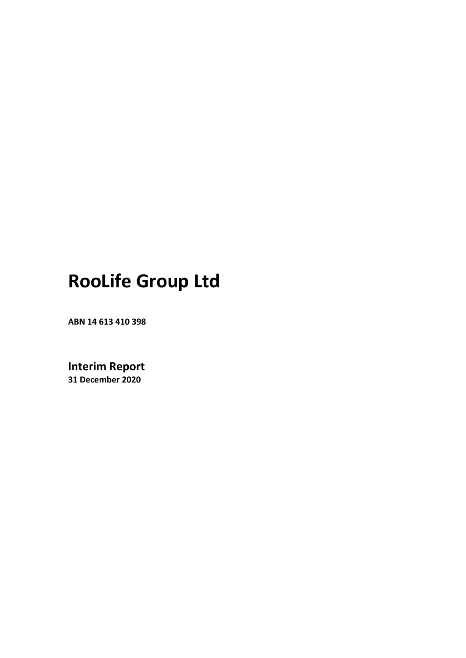# **RooLife Group Ltd**

**ABN 14 613 410 398**

**Interim Report 31 December 2020**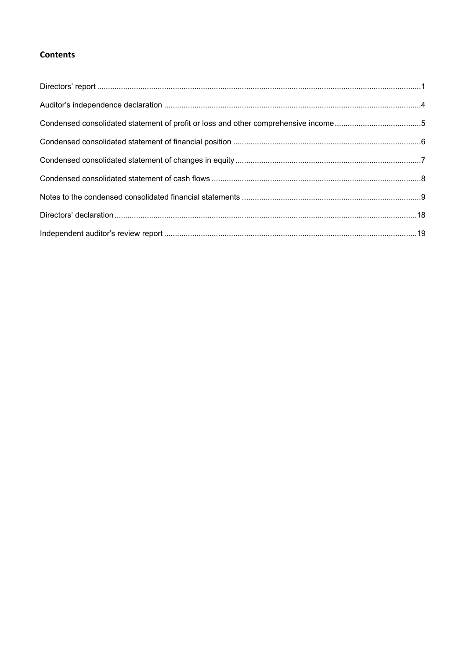# **Contents**

| Condensed consolidated statement of profit or loss and other comprehensive income5 |  |
|------------------------------------------------------------------------------------|--|
|                                                                                    |  |
|                                                                                    |  |
|                                                                                    |  |
|                                                                                    |  |
|                                                                                    |  |
|                                                                                    |  |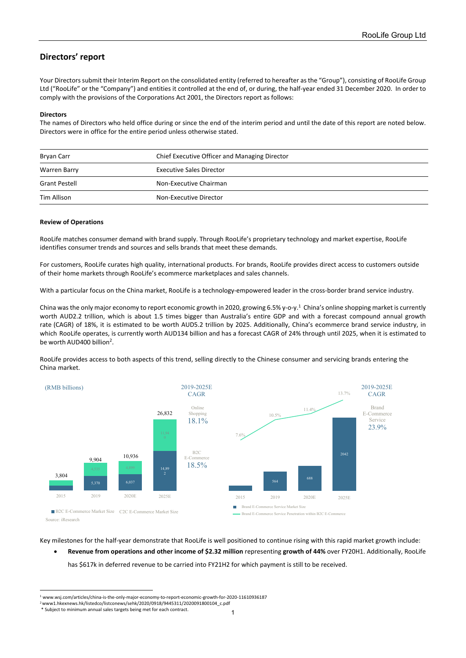# <span id="page-5-0"></span>**Directors' report**

Your Directors submit their Interim Report on the consolidated entity (referred to hereafter as the "Group"), consisting of RooLife Group Ltd ("RooLife" or the "Company") and entities it controlled at the end of, or during, the half-year ended 31 December 2020. In order to comply with the provisions of the Corporations Act 2001, the Directors report as follows:

#### **Directors**

The names of Directors who held office during or since the end of the interim period and until the date of this report are noted below. Directors were in office for the entire period unless otherwise stated.

| Bryan Carr           | Chief Executive Officer and Managing Director |  |
|----------------------|-----------------------------------------------|--|
| Warren Barry         | <b>Executive Sales Director</b>               |  |
| <b>Grant Pestell</b> | Non-Executive Chairman                        |  |
| Tim Allison          | Non-Executive Director                        |  |

#### **Review of Operations**

RooLife matches consumer demand with brand supply. Through RooLife's proprietary technology and market expertise, RooLife identifies consumer trends and sources and sells brands that meet these demands.

For customers, RooLife curates high quality, international products. For brands, RooLife provides direct access to customers outside of their home markets through RooLife's ecommerce marketplaces and sales channels.

With a particular focus on the China market, RooLife is a technology-empowered leader in the cross-border brand service industry.

China was the only major economy to report economic growth in 2020, growing 6.5% y-o-y. $^1$  $^1$  China's online shopping market is currently worth AUD2.2 trillion, which is about 1.5 times bigger than Australia's entire GDP and with a forecast compound annual growth rate (CAGR) of 18%, it is estimated to be worth AUD5.2 trillion by 2025. Additionally, China's ecommerce brand service industry, in which RooLife operates, is currently worth AUD134 billion and has a forecast CAGR of 24% through until 2025, when it is estimated to be worth AUD400 billion<sup>2</sup>.

RooLife provides access to both aspects of this trend, selling directly to the Chinese consumer and servicing brands entering the China market.



Key milestones for the half-year demonstrate that RooLife is well positioned to continue rising with this rapid market growth include:

• **Revenue from operations and other income of \$2.32 million** representing **growth of 44%** over FY20H1. Additionally, RooLife has \$617k in deferred revenue to be carried into FY21H2 for which payment is still to be received.

 $^{\rm 1}$  www.wsj.com/articles/china-is-the-only-major-economy-to-report-economic-growth-for-2020-11610936187

<span id="page-5-1"></span><sup>2</sup>www1.hkexnews.hk/listedco/listconews/sehk/2020/0918/9445311/2020091800104\_c.pdf

<sup>\*</sup> Subject to minimum annual sales targets being met for each contract.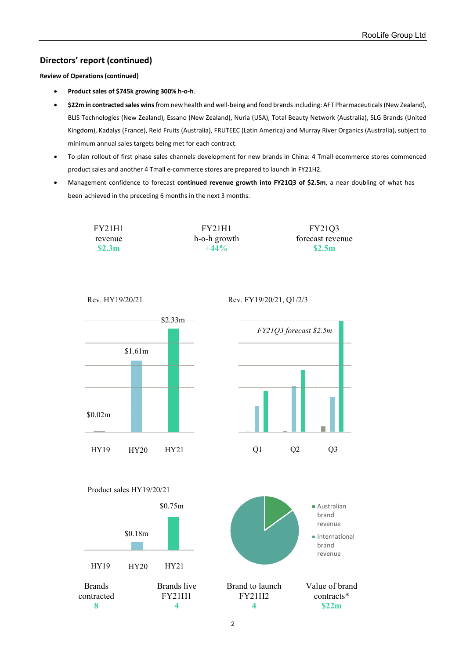# **Directors' report (continued)**

**Review of Operations (continued)**

- **Product sales of \$745k growing 300% h-o-h**.
- **\$22m in contracted sales wins**from new health and well-being and food brands including: AFT Pharmaceuticals (New Zealand), BLIS Technologies (New Zealand), Essano (New Zealand), Nuria (USA), Total Beauty Network (Australia), SLG Brands (United Kingdom), Kadalys (France), Reid Fruits (Australia), FRUTEEC (Latin America) and Murray River Organics (Australia), subject to minimum annual sales targets being met for each contract.
- To plan rollout of first phase sales channels development for new brands in China: 4 Tmall ecommerce stores commenced product sales and another 4 Tmall e-commerce stores are prepared to launch in FY21H2.
- Management confidence to forecast **continued revenue growth into FY21Q3 of \$2.5m**, a near doubling of what has been achieved in the preceding 6 months in the next 3 months.

| FY21H1  | <b>FY21H1</b> | FY2103           |
|---------|---------------|------------------|
| revenue | h-o-h growth  | forecast revenue |
| \$2.3m  | $+44\%$       | \$2.5m           |





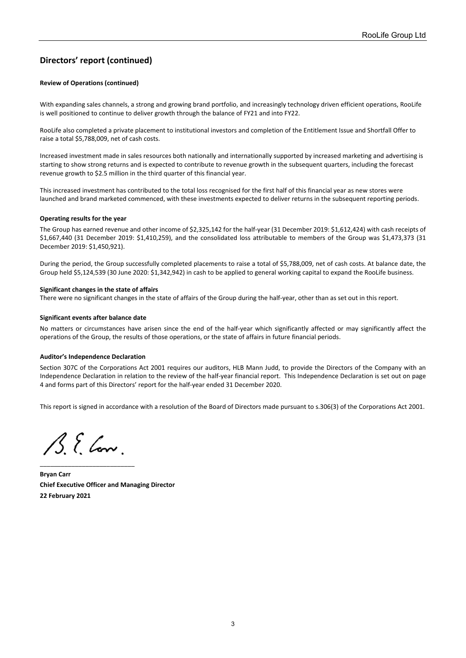# **Directors' report (continued)**

#### **Review of Operations (continued)**

With expanding sales channels, a strong and growing brand portfolio, and increasingly technology driven efficient operations, RooLife is well positioned to continue to deliver growth through the balance of FY21 and into FY22.

RooLife also completed a private placement to institutional investors and completion of the Entitlement Issue and Shortfall Offer to raise a total \$5,788,009, net of cash costs.

Increased investment made in sales resources both nationally and internationally supported by increased marketing and advertising is starting to show strong returns and is expected to contribute to revenue growth in the subsequent quarters, including the forecast revenue growth to \$2.5 million in the third quarter of this financial year.

This increased investment has contributed to the total loss recognised for the first half of this financial year as new stores were launched and brand marketed commenced, with these investments expected to deliver returns in the subsequent reporting periods.

#### **Operating results for the year**

The Group has earned revenue and other income of \$2,325,142 for the half-year (31 December 2019: \$1,612,424) with cash receipts of \$1,667,440 (31 December 2019: \$1,410,259), and the consolidated loss attributable to members of the Group was \$1,473,373 (31 December 2019: \$1,450,921).

During the period, the Group successfully completed placements to raise a total of \$5,788,009, net of cash costs. At balance date, the Group held \$5,124,539 (30 June 2020: \$1,342,942) in cash to be applied to general working capital to expand the RooLife business.

#### **Significant changes in the state of affairs**

There were no significant changes in the state of affairs of the Group during the half-year, other than as set out in this report.

#### **Significant events after balance date**

No matters or circumstances have arisen since the end of the half-year which significantly affected or may significantly affect the operations of the Group, the results of those operations, or the state of affairs in future financial periods.

#### **Auditor's Independence Declaration**

Section 307C of the Corporations Act 2001 requires our auditors, HLB Mann Judd, to provide the Directors of the Company with an Independence Declaration in relation to the review of the half-year financial report. This Independence Declaration is set out on page 4 and forms part of this Directors' report for the half-year ended 31 December 2020.

This report is signed in accordance with a resolution of the Board of Directors made pursuant to s.306(3) of the Corporations Act 2001.

 $\mathcal{B}$ . E. Conv.

\_\_\_\_\_\_\_\_\_\_\_\_\_\_\_\_\_\_\_\_\_\_\_\_\_\_\_

**Bryan Carr Chief Executive Officer and Managing Director 22 February 2021**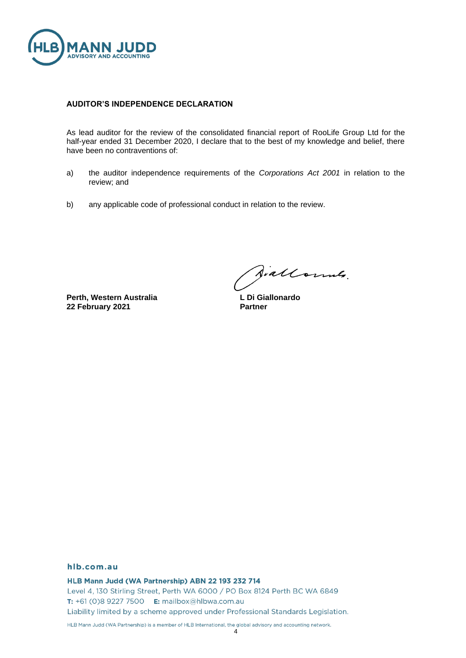

#### **AUDITOR'S INDEPENDENCE DECLARATION**

As lead auditor for the review of the consolidated financial report of RooLife Group Ltd for the half-year ended 31 December 2020, I declare that to the best of my knowledge and belief, there have been no contraventions of:

- a) the auditor independence requirements of the *Corporations Act 2001* in relation to the review; and
- b) any applicable code of professional conduct in relation to the review.

**Perth, Western Australia 22 February 2021**

Diallonnes.

**L Di Giallonardo Partner**

#### hlb.com.au

HLB Mann Judd (WA Partnership) ABN 22 193 232 714 Level 4, 130 Stirling Street, Perth WA 6000 / PO Box 8124 Perth BC WA 6849 T: +61 (0)8 9227 7500 E: mailbox@hlbwa.com.au Liability limited by a scheme approved under Professional Standards Legislation.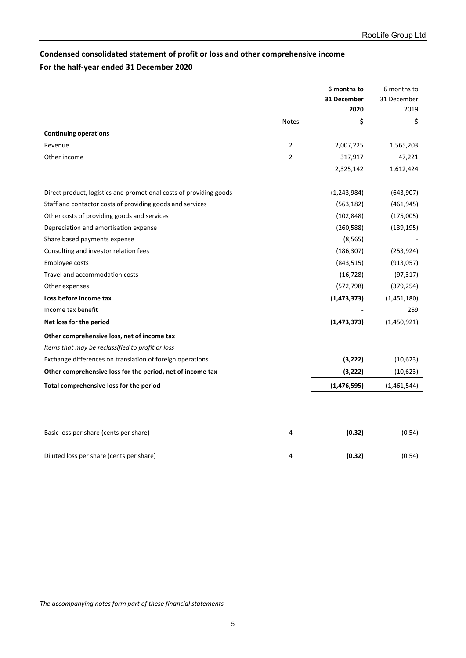# <span id="page-9-0"></span>**Condensed consolidated statement of profit or loss and other comprehensive income For the half-year ended 31 December 2020**

|                                                                    |                | 6 months to         | 6 months to         |
|--------------------------------------------------------------------|----------------|---------------------|---------------------|
|                                                                    |                | 31 December<br>2020 | 31 December<br>2019 |
|                                                                    | <b>Notes</b>   | \$                  | \$                  |
| <b>Continuing operations</b>                                       |                |                     |                     |
| Revenue                                                            | $\overline{2}$ | 2,007,225           | 1,565,203           |
| Other income                                                       | $\overline{2}$ | 317,917             | 47,221              |
|                                                                    |                | 2,325,142           | 1,612,424           |
| Direct product, logistics and promotional costs of providing goods |                | (1, 243, 984)       | (643,907)           |
| Staff and contactor costs of providing goods and services          |                | (563, 182)          | (461, 945)          |
| Other costs of providing goods and services                        |                | (102, 848)          | (175,005)           |
| Depreciation and amortisation expense                              |                | (260, 588)          | (139, 195)          |
| Share based payments expense                                       |                | (8, 565)            |                     |
| Consulting and investor relation fees                              |                | (186, 307)          | (253, 924)          |
| Employee costs                                                     |                | (843, 515)          | (913, 057)          |
| Travel and accommodation costs                                     |                | (16, 728)           | (97, 317)           |
| Other expenses                                                     |                | (572, 798)          | (379, 254)          |
| Loss before income tax                                             |                | (1, 473, 373)       | (1,451,180)         |
| Income tax benefit                                                 |                |                     | 259                 |
| Net loss for the period                                            |                | (1, 473, 373)       | (1,450,921)         |
| Other comprehensive loss, net of income tax                        |                |                     |                     |
| Items that may be reclassified to profit or loss                   |                |                     |                     |
| Exchange differences on translation of foreign operations          |                | (3, 222)            | (10,623)            |
| Other comprehensive loss for the period, net of income tax         |                | (3, 222)            | (10,623)            |
| Total comprehensive loss for the period                            |                | (1, 476, 595)       | (1,461,544)         |
|                                                                    |                |                     |                     |
| Basic loss per share (cents per share)                             | 4              | (0.32)              | (0.54)              |
| Diluted loss per share (cents per share)                           | 4              | (0.32)              | (0.54)              |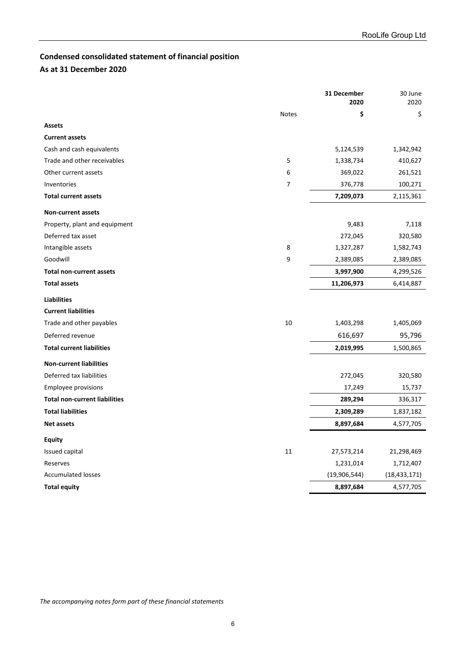# <span id="page-10-0"></span>**Condensed consolidated statement of financial position**

# **As at 31 December 2020**

| \$<br>\$<br><b>Notes</b><br><b>Assets</b><br><b>Current assets</b><br>Cash and cash equivalents<br>5,124,539<br>1,342,942<br>5<br>Trade and other receivables<br>1,338,734<br>410,627<br>6<br>369,022<br>Other current assets<br>261,521<br>7<br>376,778<br>100,271<br>Inventories<br><b>Total current assets</b><br>7,209,073<br>2,115,361<br><b>Non-current assets</b><br>9,483<br>7,118<br>Property, plant and equipment<br>Deferred tax asset<br>272,045<br>320,580<br>8<br>Intangible assets<br>1,327,287<br>1,582,743<br>9<br>Goodwill<br>2,389,085<br>2,389,085<br>3,997,900<br><b>Total non-current assets</b><br>4,299,526<br><b>Total assets</b><br>11,206,973<br>6,414,887<br><b>Liabilities</b><br><b>Current liabilities</b><br>10<br>Trade and other payables<br>1,403,298<br>1,405,069<br>616,697<br>95,796<br>Deferred revenue<br><b>Total current liabilities</b><br>2,019,995<br>1,500,865<br><b>Non-current liabilities</b><br>Deferred tax liabilities<br>272,045<br>320,580<br>17,249<br><b>Employee provisions</b><br>15,737<br><b>Total non-current liabilities</b><br>289,294<br>336,317<br><b>Total liabilities</b><br>2,309,289<br>1,837,182<br>8,897,684<br><b>Net assets</b><br>4,577,705<br><b>Equity</b><br>11<br>21,298,469<br>Issued capital<br>27,573,214<br>Reserves<br>1,231,014<br>1,712,407<br><b>Accumulated losses</b><br>(19,906,544)<br>(18, 433, 171)<br><b>Total equity</b><br>8,897,684<br>4,577,705 |  | 31 December<br>2020 | 30 June<br>2020 |
|--------------------------------------------------------------------------------------------------------------------------------------------------------------------------------------------------------------------------------------------------------------------------------------------------------------------------------------------------------------------------------------------------------------------------------------------------------------------------------------------------------------------------------------------------------------------------------------------------------------------------------------------------------------------------------------------------------------------------------------------------------------------------------------------------------------------------------------------------------------------------------------------------------------------------------------------------------------------------------------------------------------------------------------------------------------------------------------------------------------------------------------------------------------------------------------------------------------------------------------------------------------------------------------------------------------------------------------------------------------------------------------------------------------------------------------------------|--|---------------------|-----------------|
|                                                                                                                                                                                                                                                                                                                                                                                                                                                                                                                                                                                                                                                                                                                                                                                                                                                                                                                                                                                                                                                                                                                                                                                                                                                                                                                                                                                                                                                  |  |                     |                 |
|                                                                                                                                                                                                                                                                                                                                                                                                                                                                                                                                                                                                                                                                                                                                                                                                                                                                                                                                                                                                                                                                                                                                                                                                                                                                                                                                                                                                                                                  |  |                     |                 |
|                                                                                                                                                                                                                                                                                                                                                                                                                                                                                                                                                                                                                                                                                                                                                                                                                                                                                                                                                                                                                                                                                                                                                                                                                                                                                                                                                                                                                                                  |  |                     |                 |
|                                                                                                                                                                                                                                                                                                                                                                                                                                                                                                                                                                                                                                                                                                                                                                                                                                                                                                                                                                                                                                                                                                                                                                                                                                                                                                                                                                                                                                                  |  |                     |                 |
|                                                                                                                                                                                                                                                                                                                                                                                                                                                                                                                                                                                                                                                                                                                                                                                                                                                                                                                                                                                                                                                                                                                                                                                                                                                                                                                                                                                                                                                  |  |                     |                 |
|                                                                                                                                                                                                                                                                                                                                                                                                                                                                                                                                                                                                                                                                                                                                                                                                                                                                                                                                                                                                                                                                                                                                                                                                                                                                                                                                                                                                                                                  |  |                     |                 |
|                                                                                                                                                                                                                                                                                                                                                                                                                                                                                                                                                                                                                                                                                                                                                                                                                                                                                                                                                                                                                                                                                                                                                                                                                                                                                                                                                                                                                                                  |  |                     |                 |
|                                                                                                                                                                                                                                                                                                                                                                                                                                                                                                                                                                                                                                                                                                                                                                                                                                                                                                                                                                                                                                                                                                                                                                                                                                                                                                                                                                                                                                                  |  |                     |                 |
|                                                                                                                                                                                                                                                                                                                                                                                                                                                                                                                                                                                                                                                                                                                                                                                                                                                                                                                                                                                                                                                                                                                                                                                                                                                                                                                                                                                                                                                  |  |                     |                 |
|                                                                                                                                                                                                                                                                                                                                                                                                                                                                                                                                                                                                                                                                                                                                                                                                                                                                                                                                                                                                                                                                                                                                                                                                                                                                                                                                                                                                                                                  |  |                     |                 |
|                                                                                                                                                                                                                                                                                                                                                                                                                                                                                                                                                                                                                                                                                                                                                                                                                                                                                                                                                                                                                                                                                                                                                                                                                                                                                                                                                                                                                                                  |  |                     |                 |
|                                                                                                                                                                                                                                                                                                                                                                                                                                                                                                                                                                                                                                                                                                                                                                                                                                                                                                                                                                                                                                                                                                                                                                                                                                                                                                                                                                                                                                                  |  |                     |                 |
|                                                                                                                                                                                                                                                                                                                                                                                                                                                                                                                                                                                                                                                                                                                                                                                                                                                                                                                                                                                                                                                                                                                                                                                                                                                                                                                                                                                                                                                  |  |                     |                 |
|                                                                                                                                                                                                                                                                                                                                                                                                                                                                                                                                                                                                                                                                                                                                                                                                                                                                                                                                                                                                                                                                                                                                                                                                                                                                                                                                                                                                                                                  |  |                     |                 |
|                                                                                                                                                                                                                                                                                                                                                                                                                                                                                                                                                                                                                                                                                                                                                                                                                                                                                                                                                                                                                                                                                                                                                                                                                                                                                                                                                                                                                                                  |  |                     |                 |
|                                                                                                                                                                                                                                                                                                                                                                                                                                                                                                                                                                                                                                                                                                                                                                                                                                                                                                                                                                                                                                                                                                                                                                                                                                                                                                                                                                                                                                                  |  |                     |                 |
|                                                                                                                                                                                                                                                                                                                                                                                                                                                                                                                                                                                                                                                                                                                                                                                                                                                                                                                                                                                                                                                                                                                                                                                                                                                                                                                                                                                                                                                  |  |                     |                 |
|                                                                                                                                                                                                                                                                                                                                                                                                                                                                                                                                                                                                                                                                                                                                                                                                                                                                                                                                                                                                                                                                                                                                                                                                                                                                                                                                                                                                                                                  |  |                     |                 |
|                                                                                                                                                                                                                                                                                                                                                                                                                                                                                                                                                                                                                                                                                                                                                                                                                                                                                                                                                                                                                                                                                                                                                                                                                                                                                                                                                                                                                                                  |  |                     |                 |
|                                                                                                                                                                                                                                                                                                                                                                                                                                                                                                                                                                                                                                                                                                                                                                                                                                                                                                                                                                                                                                                                                                                                                                                                                                                                                                                                                                                                                                                  |  |                     |                 |
|                                                                                                                                                                                                                                                                                                                                                                                                                                                                                                                                                                                                                                                                                                                                                                                                                                                                                                                                                                                                                                                                                                                                                                                                                                                                                                                                                                                                                                                  |  |                     |                 |
|                                                                                                                                                                                                                                                                                                                                                                                                                                                                                                                                                                                                                                                                                                                                                                                                                                                                                                                                                                                                                                                                                                                                                                                                                                                                                                                                                                                                                                                  |  |                     |                 |
|                                                                                                                                                                                                                                                                                                                                                                                                                                                                                                                                                                                                                                                                                                                                                                                                                                                                                                                                                                                                                                                                                                                                                                                                                                                                                                                                                                                                                                                  |  |                     |                 |
|                                                                                                                                                                                                                                                                                                                                                                                                                                                                                                                                                                                                                                                                                                                                                                                                                                                                                                                                                                                                                                                                                                                                                                                                                                                                                                                                                                                                                                                  |  |                     |                 |
|                                                                                                                                                                                                                                                                                                                                                                                                                                                                                                                                                                                                                                                                                                                                                                                                                                                                                                                                                                                                                                                                                                                                                                                                                                                                                                                                                                                                                                                  |  |                     |                 |
|                                                                                                                                                                                                                                                                                                                                                                                                                                                                                                                                                                                                                                                                                                                                                                                                                                                                                                                                                                                                                                                                                                                                                                                                                                                                                                                                                                                                                                                  |  |                     |                 |
|                                                                                                                                                                                                                                                                                                                                                                                                                                                                                                                                                                                                                                                                                                                                                                                                                                                                                                                                                                                                                                                                                                                                                                                                                                                                                                                                                                                                                                                  |  |                     |                 |
|                                                                                                                                                                                                                                                                                                                                                                                                                                                                                                                                                                                                                                                                                                                                                                                                                                                                                                                                                                                                                                                                                                                                                                                                                                                                                                                                                                                                                                                  |  |                     |                 |
|                                                                                                                                                                                                                                                                                                                                                                                                                                                                                                                                                                                                                                                                                                                                                                                                                                                                                                                                                                                                                                                                                                                                                                                                                                                                                                                                                                                                                                                  |  |                     |                 |
|                                                                                                                                                                                                                                                                                                                                                                                                                                                                                                                                                                                                                                                                                                                                                                                                                                                                                                                                                                                                                                                                                                                                                                                                                                                                                                                                                                                                                                                  |  |                     |                 |
|                                                                                                                                                                                                                                                                                                                                                                                                                                                                                                                                                                                                                                                                                                                                                                                                                                                                                                                                                                                                                                                                                                                                                                                                                                                                                                                                                                                                                                                  |  |                     |                 |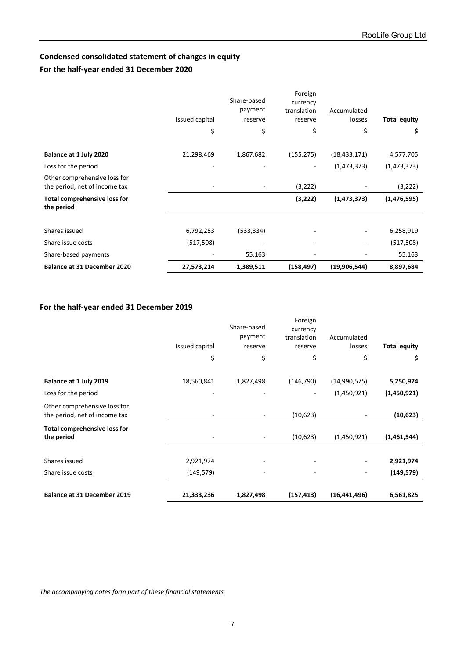# <span id="page-11-0"></span>**Condensed consolidated statement of changes in equity**

# **For the half-year ended 31 December 2020**

| <b>Balance at 31 December 2020</b>                            | 27,573,214     | 1,389,511                         | (158, 497)                                    | (19,906,544)          | 8,897,684           |
|---------------------------------------------------------------|----------------|-----------------------------------|-----------------------------------------------|-----------------------|---------------------|
| Share-based payments                                          |                | 55,163                            |                                               |                       | 55,163              |
| Share issue costs                                             | (517,508)      |                                   |                                               |                       | (517, 508)          |
| Shares issued                                                 | 6,792,253      | (533, 334)                        |                                               |                       | 6,258,919           |
| Total comprehensive loss for<br>the period                    |                |                                   | (3,222)                                       | (1, 473, 373)         | (1,476,595)         |
| Other comprehensive loss for<br>the period, net of income tax |                |                                   | (3,222)                                       |                       | (3,222)             |
| Loss for the period                                           |                |                                   | ٠                                             | (1,473,373)           | (1, 473, 373)       |
| Balance at 1 July 2020                                        | 21,298,469     | 1,867,682                         | (155, 275)                                    | (18, 433, 171)        | 4,577,705           |
|                                                               | \$             | \$                                | \$                                            | \$                    | \$                  |
|                                                               | Issued capital | Share-based<br>payment<br>reserve | Foreign<br>currency<br>translation<br>reserve | Accumulated<br>losses | <b>Total equity</b> |

# **For the half-year ended 31 December 2019**

| <b>Balance at 31 December 2019</b>                            | 21,333,236               | 1,827,498                         | (157, 413)                                    | (16, 441, 496)        | 6,561,825           |
|---------------------------------------------------------------|--------------------------|-----------------------------------|-----------------------------------------------|-----------------------|---------------------|
|                                                               |                          |                                   |                                               |                       |                     |
| Share issue costs                                             | (149,579)                |                                   |                                               |                       | (149, 579)          |
| Shares issued                                                 | 2,921,974                |                                   |                                               |                       | 2,921,974           |
| Total comprehensive loss for<br>the period                    | $\overline{\phantom{a}}$ |                                   | (10,623)                                      | (1,450,921)           | (1,461,544)         |
| Other comprehensive loss for<br>the period, net of income tax |                          |                                   | (10,623)                                      |                       | (10, 623)           |
| Loss for the period                                           |                          |                                   |                                               | (1,450,921)           | (1,450,921)         |
| Balance at 1 July 2019                                        | 18,560,841               | 1,827,498                         | (146, 790)                                    | (14,990,575)          | 5,250,974           |
|                                                               | \$                       | \$                                | \$                                            | \$                    | \$                  |
|                                                               | Issued capital           | Share-based<br>payment<br>reserve | Foreign<br>currency<br>translation<br>reserve | Accumulated<br>losses | <b>Total equity</b> |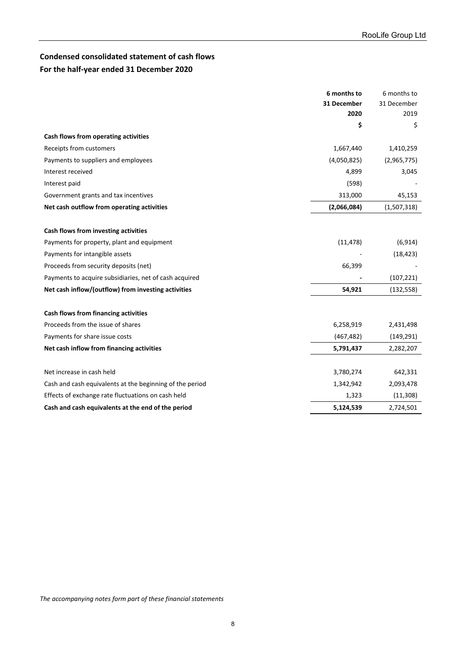# <span id="page-12-0"></span>**Condensed consolidated statement of cash flows For the half-year ended 31 December 2020**

|                                                          | 6 months to | 6 months to |
|----------------------------------------------------------|-------------|-------------|
|                                                          | 31 December | 31 December |
|                                                          | 2020        | 2019        |
|                                                          | \$          | \$          |
| Cash flows from operating activities                     |             |             |
| Receipts from customers                                  | 1,667,440   | 1,410,259   |
| Payments to suppliers and employees                      | (4,050,825) | (2,965,775) |
| Interest received                                        | 4,899       | 3,045       |
| Interest paid                                            | (598)       |             |
| Government grants and tax incentives                     | 313,000     | 45,153      |
| Net cash outflow from operating activities               | (2,066,084) | (1,507,318) |
|                                                          |             |             |
| Cash flows from investing activities                     |             |             |
| Payments for property, plant and equipment               | (11, 478)   | (6, 914)    |
| Payments for intangible assets                           |             | (18, 423)   |
| Proceeds from security deposits (net)                    | 66,399      |             |
| Payments to acquire subsidiaries, net of cash acquired   |             | (107, 221)  |
| Net cash inflow/(outflow) from investing activities      | 54,921      | (132, 558)  |
|                                                          |             |             |
| Cash flows from financing activities                     |             |             |
| Proceeds from the issue of shares                        | 6,258,919   | 2,431,498   |
| Payments for share issue costs                           | (467, 482)  | (149, 291)  |
| Net cash inflow from financing activities                | 5,791,437   | 2,282,207   |
|                                                          |             |             |
| Net increase in cash held                                | 3,780,274   | 642,331     |
| Cash and cash equivalents at the beginning of the period | 1,342,942   | 2,093,478   |
| Effects of exchange rate fluctuations on cash held       | 1,323       | (11, 308)   |
| Cash and cash equivalents at the end of the period       | 5,124,539   | 2,724,501   |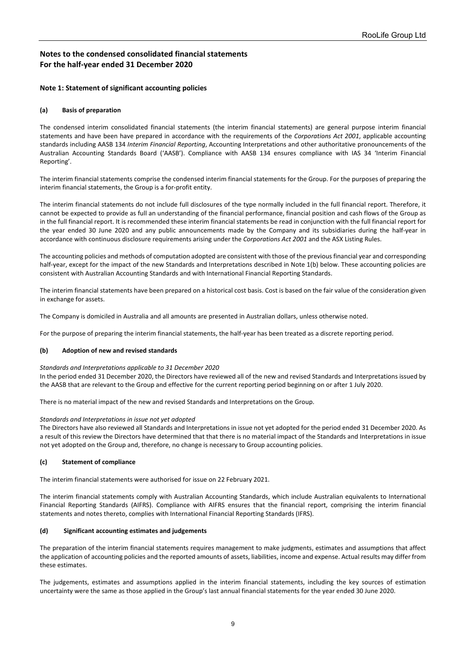#### <span id="page-13-0"></span>**Note 1: Statement of significant accounting policies**

#### **(a) Basis of preparation**

The condensed interim consolidated financial statements (the interim financial statements) are general purpose interim financial statements and have been have prepared in accordance with the requirements of the *Corporations Act 2001*, applicable accounting standards including AASB 134 *Interim Financial Reporting*, Accounting Interpretations and other authoritative pronouncements of the Australian Accounting Standards Board ('AASB'). Compliance with AASB 134 ensures compliance with IAS 34 'Interim Financial Reporting'.

The interim financial statements comprise the condensed interim financial statements for the Group. For the purposes of preparing the interim financial statements, the Group is a for-profit entity.

The interim financial statements do not include full disclosures of the type normally included in the full financial report. Therefore, it cannot be expected to provide as full an understanding of the financial performance, financial position and cash flows of the Group as in the full financial report. It is recommended these interim financial statements be read in conjunction with the full financial report for the year ended 30 June 2020 and any public announcements made by the Company and its subsidiaries during the half-year in accordance with continuous disclosure requirements arising under the *Corporations Act 2001* and the ASX Listing Rules.

The accounting policies and methods of computation adopted are consistent with those of the previous financial year and corresponding half-year, except for the impact of the new Standards and Interpretations described in Note 1(b) below. These accounting policies are consistent with Australian Accounting Standards and with International Financial Reporting Standards.

The interim financial statements have been prepared on a historical cost basis. Cost is based on the fair value of the consideration given in exchange for assets.

The Company is domiciled in Australia and all amounts are presented in Australian dollars, unless otherwise noted.

For the purpose of preparing the interim financial statements, the half-year has been treated as a discrete reporting period.

#### **(b) Adoption of new and revised standards**

#### *Standards and Interpretations applicable to 31 December 2020*

In the period ended 31 December 2020, the Directors have reviewed all of the new and revised Standards and Interpretations issued by the AASB that are relevant to the Group and effective for the current reporting period beginning on or after 1 July 2020.

There is no material impact of the new and revised Standards and Interpretations on the Group.

#### *Standards and Interpretations in issue not yet adopted*

The Directors have also reviewed all Standards and Interpretations in issue not yet adopted for the period ended 31 December 2020. As a result of this review the Directors have determined that that there is no material impact of the Standards and Interpretations in issue not yet adopted on the Group and, therefore, no change is necessary to Group accounting policies.

#### **(c) Statement of compliance**

The interim financial statements were authorised for issue on 22 February 2021.

The interim financial statements comply with Australian Accounting Standards, which include Australian equivalents to International Financial Reporting Standards (AIFRS). Compliance with AIFRS ensures that the financial report, comprising the interim financial statements and notes thereto, complies with International Financial Reporting Standards (IFRS).

#### **(d) Significant accounting estimates and judgements**

The preparation of the interim financial statements requires management to make judgments, estimates and assumptions that affect the application of accounting policies and the reported amounts of assets, liabilities, income and expense. Actual results may differ from these estimates.

The judgements, estimates and assumptions applied in the interim financial statements, including the key sources of estimation uncertainty were the same as those applied in the Group's last annual financial statements for the year ended 30 June 2020.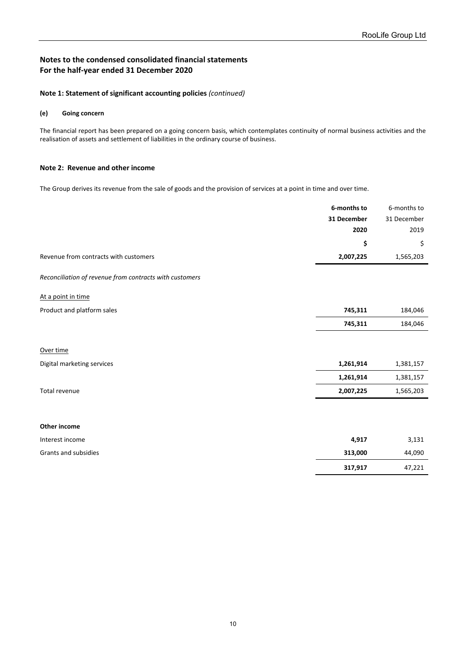**317,917** 47,221

# **Notes to the condensed consolidated financial statements For the half-year ended 31 December 2020**

#### **Note 1: Statement of significant accounting policies** *(continued)*

#### **(e) Going concern**

The financial report has been prepared on a going concern basis, which contemplates continuity of normal business activities and the realisation of assets and settlement of liabilities in the ordinary course of business.

#### **Note 2: Revenue and other income**

The Group derives its revenue from the sale of goods and the provision of services at a point in time and over time.

|                                                         | 6-months to | 6-months to |
|---------------------------------------------------------|-------------|-------------|
|                                                         | 31 December | 31 December |
|                                                         | 2020        | 2019        |
|                                                         | \$          | \$          |
| Revenue from contracts with customers                   | 2,007,225   | 1,565,203   |
| Reconciliation of revenue from contracts with customers |             |             |
| At a point in time                                      |             |             |
| Product and platform sales                              | 745,311     | 184,046     |
|                                                         | 745,311     | 184,046     |
|                                                         |             |             |
| Over time                                               |             |             |
| Digital marketing services                              | 1,261,914   | 1,381,157   |
|                                                         | 1,261,914   | 1,381,157   |
| Total revenue                                           | 2,007,225   | 1,565,203   |
|                                                         |             |             |
| Other income                                            |             |             |
| Interest income                                         | 4,917       | 3,131       |
| Grants and subsidies                                    | 313,000     | 44,090      |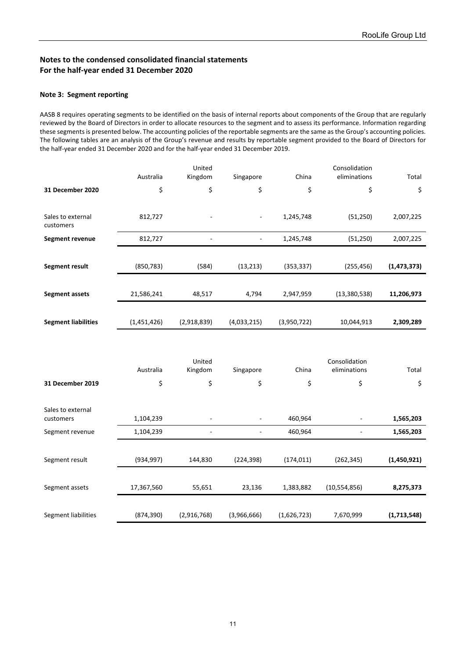#### **Note 3: Segment reporting**

AASB 8 requires operating segments to be identified on the basis of internal reports about components of the Group that are regularly reviewed by the Board of Directors in order to allocate resources to the segment and to assess its performance. Information regarding these segments is presented below. The accounting policies of the reportable segments are the same as the Group's accounting policies. The following tables are an analysis of the Group's revenue and results by reportable segment provided to the Board of Directors for the half-year ended 31 December 2020 and for the half-year ended 31 December 2019.

|                                |             | United            |                |             | Consolidation                 |               |
|--------------------------------|-------------|-------------------|----------------|-------------|-------------------------------|---------------|
|                                | Australia   | Kingdom           | Singapore      | China       | eliminations                  | Total         |
| 31 December 2020               | \$          | \$                | \$             | \$          | \$                            | \$            |
| Sales to external<br>customers | 812,727     |                   |                | 1,245,748   | (51, 250)                     | 2,007,225     |
| <b>Segment revenue</b>         | 812,727     |                   | $\blacksquare$ | 1,245,748   | (51, 250)                     | 2,007,225     |
|                                |             |                   |                |             |                               |               |
| Segment result                 | (850, 783)  | (584)             | (13, 213)      | (353, 337)  | (255, 456)                    | (1, 473, 373) |
|                                |             |                   |                |             |                               |               |
| <b>Segment assets</b>          | 21,586,241  | 48,517            | 4,794          | 2,947,959   | (13, 380, 538)                | 11,206,973    |
|                                |             |                   |                |             |                               |               |
| <b>Segment liabilities</b>     | (1,451,426) | (2,918,839)       | (4,033,215)    | (3,950,722) | 10,044,913                    | 2,309,289     |
|                                |             |                   |                |             |                               |               |
|                                |             |                   |                |             |                               |               |
|                                | Australia   | United<br>Kingdom | Singapore      | China       | Consolidation<br>eliminations | Total         |
| 31 December 2019               | \$          | \$                | \$             | \$          | \$                            | \$            |
|                                |             |                   |                |             |                               |               |
| Sales to external              |             |                   |                |             |                               |               |
| customers                      | 1,104,239   |                   |                | 460,964     |                               | 1,565,203     |
| Segment revenue                | 1,104,239   |                   | $\overline{a}$ | 460,964     | $\overline{\phantom{a}}$      | 1,565,203     |
|                                |             |                   |                |             |                               |               |
| Segment result                 | (934, 997)  | 144,830           | (224, 398)     | (174, 011)  | (262, 345)                    | (1,450,921)   |
|                                |             |                   |                |             |                               |               |
| Segment assets                 | 17,367,560  | 55,651            | 23,136         | 1,383,882   | (10, 554, 856)                | 8,275,373     |
|                                |             |                   |                |             |                               |               |
| Segment liabilities            | (874, 390)  | (2,916,768)       | (3,966,666)    | (1,626,723) | 7,670,999                     | (1,713,548)   |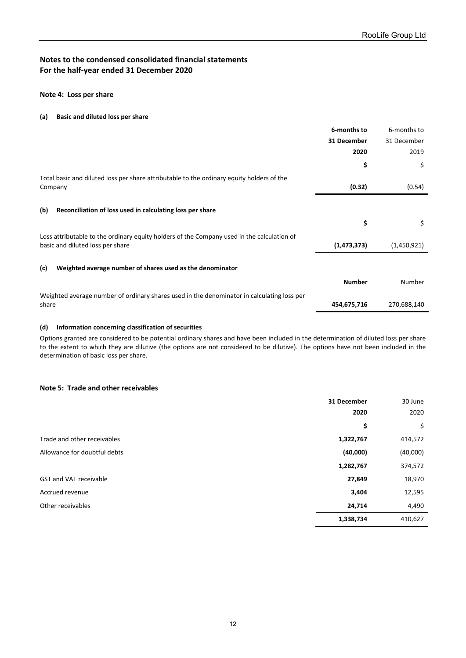#### **Note 4: Loss per share**

#### **(a) Basic and diluted loss per share**

|                                                                                                                                | 6-months to   | 6-months to |
|--------------------------------------------------------------------------------------------------------------------------------|---------------|-------------|
|                                                                                                                                | 31 December   | 31 December |
|                                                                                                                                | 2020          | 2019        |
|                                                                                                                                | \$            | \$          |
| Total basic and diluted loss per share attributable to the ordinary equity holders of the<br>Company                           | (0.32)        | (0.54)      |
| (b)<br>Reconciliation of loss used in calculating loss per share                                                               |               |             |
|                                                                                                                                | \$            | \$          |
| Loss attributable to the ordinary equity holders of the Company used in the calculation of<br>basic and diluted loss per share | (1, 473, 373) | (1,450,921) |
| Weighted average number of shares used as the denominator<br>(c)                                                               |               |             |
|                                                                                                                                | <b>Number</b> | Number      |
| Weighted average number of ordinary shares used in the denominator in calculating loss per<br>share                            | 454,675,716   | 270,688,140 |
|                                                                                                                                |               |             |

#### **(d) Information concerning classification of securities**

Options granted are considered to be potential ordinary shares and have been included in the determination of diluted loss per share to the extent to which they are dilutive (the options are not considered to be dilutive). The options have not been included in the determination of basic loss per share.

#### **Note 5: Trade and other receivables**

|                               | 31 December | 30 June  |
|-------------------------------|-------------|----------|
|                               | 2020        | 2020     |
|                               | \$          | \$       |
| Trade and other receivables   | 1,322,767   | 414,572  |
| Allowance for doubtful debts  | (40,000)    | (40,000) |
|                               | 1,282,767   | 374,572  |
| <b>GST and VAT receivable</b> | 27,849      | 18,970   |
| Accrued revenue               | 3,404       | 12,595   |
| Other receivables             | 24,714      | 4,490    |
|                               | 1,338,734   | 410,627  |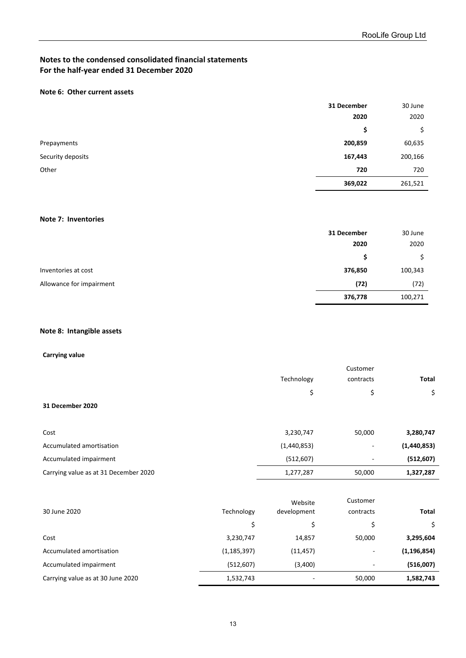# **Note 6: Other current assets**

|                   | 31 December | 30 June |
|-------------------|-------------|---------|
|                   | 2020        | 2020    |
|                   | \$          | \$      |
| Prepayments       | 200,859     | 60,635  |
| Security deposits | 167,443     | 200,166 |
| Other             | 720         | 720     |
|                   | 369,022     | 261,521 |

#### **Note 7: Inventories**

|                          | 31 December | 30 June |
|--------------------------|-------------|---------|
|                          | 2020        | 2020    |
|                          | S           |         |
| Inventories at cost      | 376,850     | 100,343 |
| Allowance for impairment | (72)        | (72)    |
|                          | 376,778     | 100,271 |

# **Note 8: Intangible assets**

#### **Carrying value**

|                          | Customer    |                          |             |
|--------------------------|-------------|--------------------------|-------------|
|                          | Technology  | contracts                | Total       |
|                          | \$          | \$                       | \$          |
| 31 December 2020         |             |                          |             |
|                          |             |                          |             |
| Cost                     | 3,230,747   | 50,000                   | 3,280,747   |
| Accumulated amortisation | (1,440,853) | -                        | (1,440,853) |
| Accumulated impairment   | (512, 607)  | $\overline{\phantom{a}}$ | (512, 607)  |

| Carrying value as at 31 December 2020 |            | 1,277,287   | 50.000    | 1,327,287 |
|---------------------------------------|------------|-------------|-----------|-----------|
|                                       |            |             |           |           |
|                                       |            | Website     | Customer  |           |
| 30 June 2020                          | Technology | development | contracts | Total     |

| 30 June 2020                      | Technology    | development | contracts                | Total         |
|-----------------------------------|---------------|-------------|--------------------------|---------------|
|                                   |               |             |                          |               |
| Cost                              | 3,230,747     | 14,857      | 50,000                   | 3,295,604     |
| Accumulated amortisation          | (1, 185, 397) | (11, 457)   | $\overline{\phantom{a}}$ | (1, 196, 854) |
| Accumulated impairment            | (512, 607)    | (3,400)     |                          | (516,007)     |
| Carrying value as at 30 June 2020 | 1,532,743     |             | 50,000                   | 1,582,743     |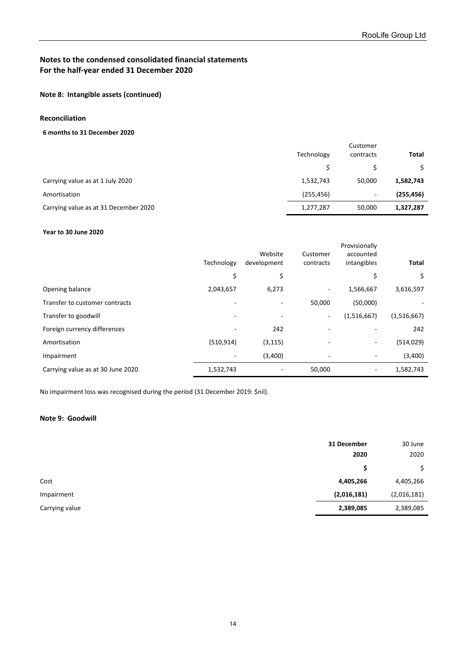## **Note 8: Intangible assets (continued)**

# **Reconciliation**

#### **6 months to 31 December 2020**

|                                       | Technology | Customer<br>contracts | Total      |
|---------------------------------------|------------|-----------------------|------------|
|                                       |            |                       |            |
| Carrying value as at 1 July 2020      | 1,532,743  | 50,000                | 1,582,743  |
| Amortisation                          | (255, 456) | ۰.                    | (255, 456) |
| Carrying value as at 31 December 2020 | 1,277,287  | 50,000                | 1,327,287  |

#### **Year to 30 June 2020**

|                                   | Technology | Website<br>development   | Customer<br>contracts    | Provisionally<br>accounted<br>intangibles | <b>Total</b> |
|-----------------------------------|------------|--------------------------|--------------------------|-------------------------------------------|--------------|
|                                   | \$         | \$                       |                          | \$                                        | \$           |
| Opening balance                   | 2,043,657  | 6,273                    | $\overline{\phantom{a}}$ | 1,566,667                                 | 3,616,597    |
| Transfer to customer contracts    |            | $\overline{\phantom{a}}$ | 50,000                   | (50,000)                                  |              |
| Transfer to goodwill              | ٠          | $\overline{a}$           | $\sim$                   | (1,516,667)                               | (1,516,667)  |
| Foreign currency differences      |            | 242                      |                          |                                           | 242          |
| Amortisation                      | (510, 914) | (3, 115)                 |                          |                                           | (514, 029)   |
| Impairment                        |            | (3,400)                  |                          |                                           | (3,400)      |
| Carrying value as at 30 June 2020 | 1,532,743  |                          | 50,000                   | ٠                                         | 1,582,743    |

No impairment loss was recognised during the period (31 December 2019: \$nil).

# **Note 9: Goodwill**

|                | 31 December | 30 June     |
|----------------|-------------|-------------|
|                | 2020        | 2020        |
|                | \$          |             |
| Cost           | 4,405,266   | 4,405,266   |
| Impairment     | (2,016,181) | (2,016,181) |
| Carrying value | 2,389,085   | 2,389,085   |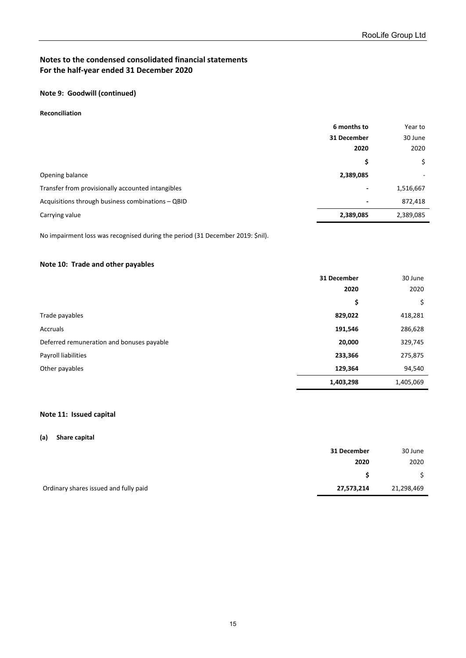#### **Note 9: Goodwill (continued)**

#### **Reconciliation**

|                                                   | 6 months to              | Year to   |
|---------------------------------------------------|--------------------------|-----------|
|                                                   | 31 December              | 30 June   |
|                                                   | 2020                     | 2020      |
|                                                   | \$                       | \$        |
| Opening balance                                   | 2,389,085                | ۰         |
| Transfer from provisionally accounted intangibles | $\overline{\phantom{0}}$ | 1,516,667 |
| Acquisitions through business combinations - QBID | $\overline{\phantom{0}}$ | 872,418   |
| Carrying value                                    | 2,389,085                | 2,389,085 |

No impairment loss was recognised during the period (31 December 2019: \$nil).

### **Note 10: Trade and other payables**

|                                           | 31 December | 30 June   |
|-------------------------------------------|-------------|-----------|
|                                           | 2020        | 2020      |
|                                           | \$          | \$        |
| Trade payables                            | 829,022     | 418,281   |
| Accruals                                  | 191,546     | 286,628   |
| Deferred remuneration and bonuses payable | 20,000      | 329,745   |
| Payroll liabilities                       | 233,366     | 275,875   |
| Other payables                            | 129,364     | 94,540    |
|                                           | 1,403,298   | 1,405,069 |

#### **Note 11: Issued capital**

#### **(a) Share capital**

|                                       | 31 December | 30 June    |
|---------------------------------------|-------------|------------|
|                                       | 2020        | 2020       |
|                                       |             |            |
| Ordinary shares issued and fully paid | 27,573,214  | 21,298,469 |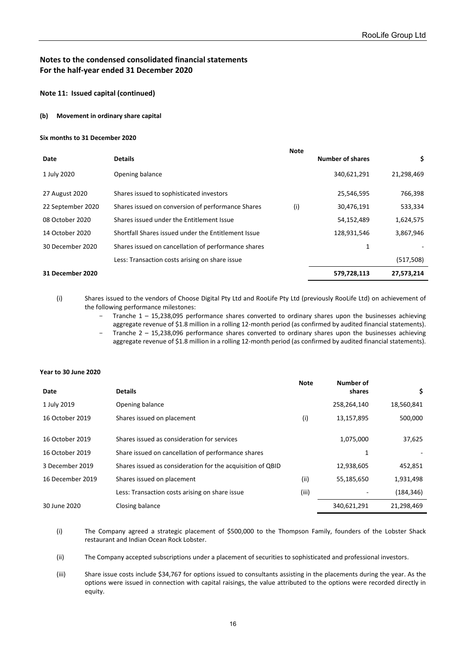#### **Note 11: Issued capital (continued)**

#### **(b) Movement in ordinary share capital**

#### **Six months to 31 December 2020**

|                   |                                                     | <b>Note</b> |                         |            |
|-------------------|-----------------------------------------------------|-------------|-------------------------|------------|
| Date              | <b>Details</b>                                      |             | <b>Number of shares</b> | \$.        |
| 1 July 2020       | Opening balance                                     |             | 340,621,291             | 21,298,469 |
| 27 August 2020    | Shares issued to sophisticated investors            |             | 25,546,595              | 766,398    |
| 22 September 2020 | Shares issued on conversion of performance Shares   | (i)         | 30,476,191              | 533,334    |
| 08 October 2020   | Shares issued under the Entitlement Issue           |             | 54,152,489              | 1,624,575  |
| 14 October 2020   | Shortfall Shares issued under the Entitlement Issue |             | 128,931,546             | 3,867,946  |
| 30 December 2020  | Shares issued on cancellation of performance shares |             | 1                       |            |
|                   | Less: Transaction costs arising on share issue      |             |                         | (517, 508) |
| 31 December 2020  |                                                     |             | 579,728,113             | 27,573,214 |

(i) Shares issued to the vendors of Choose Digital Pty Ltd and RooLife Pty Ltd (previously RooLife Ltd) on achievement of the following performance milestones:

Tranche 1 – 15,238,095 performance shares converted to ordinary shares upon the businesses achieving aggregate revenue of \$1.8 million in a rolling 12-month period (as confirmed by audited financial statements).

- Tranche 2 – 15,238,096 performance shares converted to ordinary shares upon the businesses achieving aggregate revenue of \$1.8 million in a rolling 12-month period (as confirmed by audited financial statements).

#### **Year to 30 June 2020**

| Date             | <b>Details</b>                                             | <b>Note</b> | Number of<br>shares | \$         |
|------------------|------------------------------------------------------------|-------------|---------------------|------------|
| 1 July 2019      | Opening balance                                            |             | 258,264,140         | 18,560,841 |
| 16 October 2019  | Shares issued on placement                                 | (i)         | 13,157,895          | 500,000    |
| 16 October 2019  | Shares issued as consideration for services                |             | 1,075,000           | 37,625     |
| 16 October 2019  | Share issued on cancellation of performance shares         |             |                     |            |
| 3 December 2019  | Shares issued as consideration for the acquisition of QBID |             | 12,938,605          | 452,851    |
| 16 December 2019 | Shares issued on placement                                 | (ii)        | 55,185,650          | 1,931,498  |
|                  | Less: Transaction costs arising on share issue             | (iii)       |                     | (184, 346) |
| 30 June 2020     | Closing balance                                            |             | 340,621,291         | 21,298,469 |

(i) The Company agreed a strategic placement of \$500,000 to the Thompson Family, founders of the Lobster Shack restaurant and Indian Ocean Rock Lobster.

(ii) The Company accepted subscriptions under a placement of securities to sophisticated and professional investors.

(iii) Share issue costs include \$34,767 for options issued to consultants assisting in the placements during the year. As the options were issued in connection with capital raisings, the value attributed to the options were recorded directly in equity.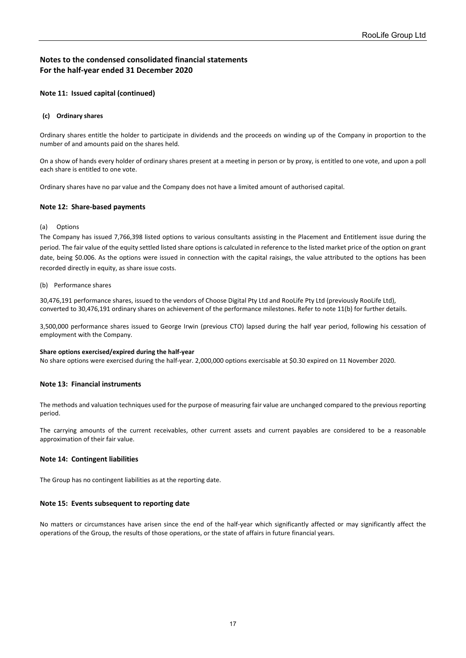#### **Note 11: Issued capital (continued)**

#### **(c) Ordinary shares**

Ordinary shares entitle the holder to participate in dividends and the proceeds on winding up of the Company in proportion to the number of and amounts paid on the shares held.

On a show of hands every holder of ordinary shares present at a meeting in person or by proxy, is entitled to one vote, and upon a poll each share is entitled to one vote.

Ordinary shares have no par value and the Company does not have a limited amount of authorised capital.

#### **Note 12: Share-based payments**

#### (a) Options

The Company has issued 7,766,398 listed options to various consultants assisting in the Placement and Entitlement issue during the period. The fair value of the equity settled listed share options is calculated in reference to the listed market price of the option on grant date, being \$0.006. As the options were issued in connection with the capital raisings, the value attributed to the options has been recorded directly in equity, as share issue costs.

(b) Performance shares

30,476,191 performance shares, issued to the vendors of Choose Digital Pty Ltd and RooLife Pty Ltd (previously RooLife Ltd), converted to 30,476,191 ordinary shares on achievement of the performance milestones. Refer to note 11(b) for further details.

3,500,000 performance shares issued to George Irwin (previous CTO) lapsed during the half year period, following his cessation of employment with the Company.

#### **Share options exercised/expired during the half-year**

No share options were exercised during the half-year. 2,000,000 options exercisable at \$0.30 expired on 11 November 2020.

#### **Note 13: Financial instruments**

The methods and valuation techniques used for the purpose of measuring fair value are unchanged compared to the previous reporting period.

The carrying amounts of the current receivables, other current assets and current payables are considered to be a reasonable approximation of their fair value.

#### **Note 14: Contingent liabilities**

The Group has no contingent liabilities as at the reporting date.

#### **Note 15: Events subsequent to reporting date**

No matters or circumstances have arisen since the end of the half-year which significantly affected or may significantly affect the operations of the Group, the results of those operations, or the state of affairs in future financial years.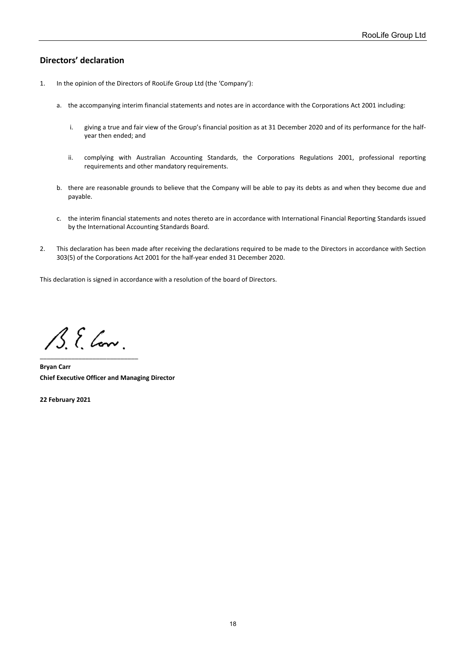# <span id="page-22-0"></span>**Directors' declaration**

- 1. In the opinion of the Directors of RooLife Group Ltd (the 'Company'):
	- a. the accompanying interim financial statements and notes are in accordance with the Corporations Act 2001 including:
		- i. giving a true and fair view of the Group's financial position as at 31 December 2020 and of its performance for the halfyear then ended; and
		- ii. complying with Australian Accounting Standards, the Corporations Regulations 2001, professional reporting requirements and other mandatory requirements.
	- b. there are reasonable grounds to believe that the Company will be able to pay its debts as and when they become due and payable.
	- c. the interim financial statements and notes thereto are in accordance with International Financial Reporting Standards issued by the International Accounting Standards Board.
- 2. This declaration has been made after receiving the declarations required to be made to the Directors in accordance with Section 303(5) of the Corporations Act 2001 for the half-year ended 31 December 2020.

This declaration is signed in accordance with a resolution of the board of Directors.

 $\mathcal{B}$ . E. Low. \_\_\_\_\_\_\_\_\_\_\_\_\_\_\_\_\_\_\_\_\_\_\_\_\_\_\_\_

**Bryan Carr Chief Executive Officer and Managing Director**

**22 February 2021**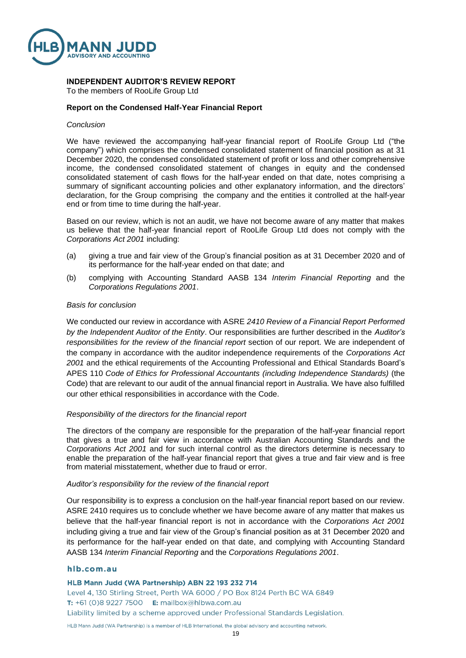

#### **INDEPENDENT AUDITOR'S REVIEW REPORT**

To the members of RooLife Group Ltd

#### **Report on the Condensed Half-Year Financial Report**

#### *Conclusion*

We have reviewed the accompanying half-year financial report of RooLife Group Ltd ("the company") which comprises the condensed consolidated statement of financial position as at 31 December 2020, the condensed consolidated statement of profit or loss and other comprehensive income, the condensed consolidated statement of changes in equity and the condensed consolidated statement of cash flows for the half-year ended on that date, notes comprising a summary of significant accounting policies and other explanatory information, and the directors' declaration, for the Group comprising the company and the entities it controlled at the half-year end or from time to time during the half-year.

Based on our review, which is not an audit, we have not become aware of any matter that makes us believe that the half-year financial report of RooLife Group Ltd does not comply with the *Corporations Act 2001* including:

- (a) giving a true and fair view of the Group's financial position as at 31 December 2020 and of its performance for the half-year ended on that date; and
- (b) complying with Accounting Standard AASB 134 *Interim Financial Reporting* and the *Corporations Regulations 2001*.

#### *Basis for conclusion*

We conducted our review in accordance with ASRE *2410 Review of a Financial Report Performed by the Independent Auditor of the Entity*. Our responsibilities are further described in the *Auditor's responsibilities for the review of the financial report* section of our report. We are independent of the company in accordance with the auditor independence requirements of the *Corporations Act 2001* and the ethical requirements of the Accounting Professional and Ethical Standards Board's APES 110 *Code of Ethics for Professional Accountants (including Independence Standards)* (the Code) that are relevant to our audit of the annual financial report in Australia. We have also fulfilled our other ethical responsibilities in accordance with the Code.

#### *Responsibility of the directors for the financial report*

The directors of the company are responsible for the preparation of the half-year financial report that gives a true and fair view in accordance with Australian Accounting Standards and the *Corporations Act 2001* and for such internal control as the directors determine is necessary to enable the preparation of the half-year financial report that gives a true and fair view and is free from material misstatement, whether due to fraud or error.

#### *Auditor's responsibility for the review of the financial report*

Our responsibility is to express a conclusion on the half-year financial report based on our review. ASRE 2410 requires us to conclude whether we have become aware of any matter that makes us believe that the half-year financial report is not in accordance with the *Corporations Act 2001* including giving a true and fair view of the Group's financial position as at 31 December 2020 and its performance for the half-year ended on that date, and complying with Accounting Standard AASB 134 *Interim Financial Reporting* and the *Corporations Regulations 2001*.

#### hlb.com.au

HLB Mann Judd (WA Partnership) ABN 22 193 232 714 Level 4, 130 Stirling Street, Perth WA 6000 / PO Box 8124 Perth BC WA 6849 T: +61 (0)8 9227 7500 E: mailbox@hlbwa.com.au

Liability limited by a scheme approved under Professional Standards Legislation.